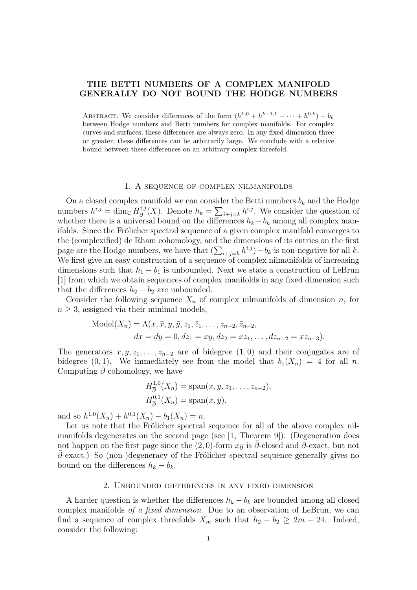# THE BETTI NUMBERS OF A COMPLEX MANIFOLD GENERALLY DO NOT BOUND THE HODGE NUMBERS

ABSTRACT. We consider differences of the form  $(h^{k,0} + h^{k-1,1} + \cdots + h^{0,k}) - b_k$ between Hodge numbers and Betti numbers for complex manifolds. For complex curves and surfaces, these differences are always zero. In any fixed dimension three or greater, these differences can be arbitrarily large. We conclude with a relative bound between these differences on an arbitrary complex threefold.

#### 1. A sequence of complex nilmanifolds

On a closed complex manifold we can consider the Betti numbers  $b_k$  and the Hodge numbers  $h^{i,j} = \dim_{\mathbb{C}} H_{\bar{\mathfrak{p}}}^{i,j}$  $\frac{i,j}{\partial}(X)$ . Denote  $h_k = \sum_{i+j=k} h^{i,j}$ . We consider the question of whether there is a universal bound on the differences  $h_k - b_k$  among all complex manifolds. Since the Frölicher spectral sequence of a given complex manifold converges to the (complexified) de Rham cohomology, and the dimensions of its entries on the first page are the Hodge numbers, we have that  $(\sum_{i+j=k} h^{i,j}) - b_k$  is non-negative for all k. We first give an easy construction of a sequence of complex nilmanifolds of increasing dimensions such that  $h_1 - b_1$  is unbounded. Next we state a construction of LeBrun [1] from which we obtain sequences of complex manifolds in any fixed dimension such that the differences  $h_2 - b_2$  are unbounded.

Consider the following sequence  $X_n$  of complex nilmanifolds of dimension n, for  $n \geq 3$ , assigned via their minimal models,

Model
$$
(X_n)
$$
 =  $\Lambda(x, \bar{x}, y, \bar{y}, z_1, \bar{z}_1, \dots, z_{n-2}, \bar{z}_{n-2},$   
\n $dx = dy = 0, dz_1 = xy, dz_2 = xz_1, \dots, dz_{n-2} = xz_{n-3}).$ 

The generators  $x, y, z_1, \ldots, z_{n-2}$  are of bidegree  $(1, 0)$  and their conjugates are of bidegree  $(0, 1)$ . We immediately see from the model that  $b_1(X_n) = 4$  for all n. Computing  $\bar{\partial}$  cohomology, we have

$$
H_{\overline{\partial}}^{1,0}(X_n) = \text{span}(x, y, z_1, \dots, z_{n-2}),
$$
  

$$
H_{\overline{\partial}}^{0,1}(X_n) = \text{span}(\overline{x}, \overline{y}),
$$

and so  $h^{1,0}(X_n) + h^{0,1}(X_n) - b_1(X_n) = n$ .

Let us note that the Frölicher spectral sequence for all of the above complex nilmanifolds degenerates on the second page (see [1, Theorem 9]). (Degeneration does not happen on the first page since the  $(2, 0)$ -form xy is ∂-closed and ∂-exact, but not ¯∂-exact.) So (non-)degeneracy of the Frölicher spectral sequence generally gives no bound on the differences  $h_k - b_k$ .

## 2. Unbounded differences in any fixed dimension

A harder question is whether the differences  $h_k - b_k$  are bounded among all closed complex manifolds of a fixed dimension. Due to an observation of LeBrun, we can find a sequence of complex threefolds  $X_m$  such that  $h_2 - b_2 \geq 2m - 24$ . Indeed, consider the following: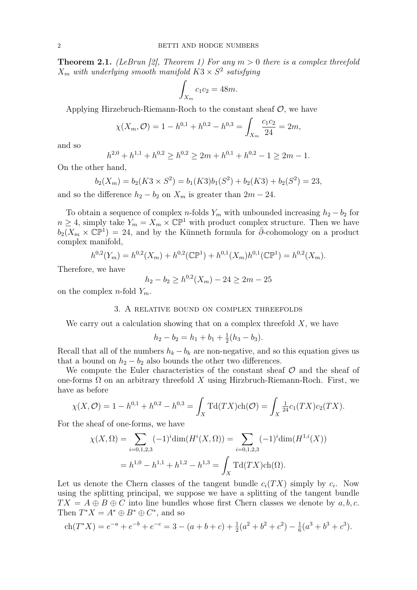**Theorem 2.1.** (LeBrun [2], Theorem 1) For any  $m > 0$  there is a complex threefold  $X_m$  with underlying smooth manifold  $K3 \times S^2$  satisfying

$$
\int_{X_m} c_1 c_2 = 48m.
$$

Applying Hirzebruch-Riemann-Roch to the constant sheaf  $\mathcal{O}$ , we have

$$
\chi(X_m, \mathcal{O}) = 1 - h^{0,1} + h^{0,2} - h^{0,3} = \int_{X_m} \frac{c_1 c_2}{24} = 2m,
$$

and so

$$
h^{2,0} + h^{1,1} + h^{0,2} \ge h^{0,2} \ge 2m + h^{0,1} + h^{0,2} - 1 \ge 2m - 1.
$$

On the other hand,

$$
b_2(X_m) = b_2(K3 \times S^2) = b_1(K3)b_1(S^2) + b_2(K3) + b_2(S^2) = 23,
$$

and so the difference  $h_2 - b_2$  on  $X_m$  is greater than  $2m - 24$ .

To obtain a sequence of complex n-folds  $Y_m$  with unbounded increasing  $h_2 - b_2$  for  $n \geq 4$ , simply take  $Y_m = X_m \times \mathbb{CP}^1$  with product complex structure. Then we have  $\overline{b_2(X_m)} \times \mathbb{CP}^1$  = 24, and by the Künneth formula for  $\overline{\partial}$ -cohomology on a product complex manifold,

$$
h^{0,2}(Y_m) = h^{0,2}(X_m) + h^{0,2}(\mathbb{CP}^1) + h^{0,1}(X_m)h^{0,1}(\mathbb{CP}^1) = h^{0,2}(X_m).
$$

Therefore, we have

$$
h_2 - b_2 \ge h^{0,2}(X_m) - 24 \ge 2m - 25
$$

on the complex *n*-fold  $Y_m$ .

#### 3. A relative bound on complex threefolds

We carry out a calculation showing that on a complex threefold  $X$ , we have

$$
h_2 - b_2 = h_1 + b_1 + \frac{1}{2}(h_3 - b_3).
$$

Recall that all of the numbers  $h_k - b_k$  are non-negative, and so this equation gives us that a bound on  $h_2 - b_2$  also bounds the other two differences.

We compute the Euler characteristics of the constant sheaf  $\mathcal O$  and the sheaf of one-forms  $\Omega$  on an arbitrary threefold X using Hirzbruch-Riemann-Roch. First, we have as before

$$
\chi(X,\mathcal{O}) = 1 - h^{0,1} + h^{0,2} - h^{0,3} = \int_X \mathrm{Td}(TX) \mathrm{ch}(\mathcal{O}) = \int_X \frac{1}{24} c_1(TX) c_2(TX).
$$

For the sheaf of one-forms, we have

$$
\chi(X,\Omega) = \sum_{i=0,1,2,3} (-1)^i \dim(H^i(X,\Omega)) = \sum_{i=0,1,2,3} (-1)^i \dim(H^{1,i}(X))
$$

$$
= h^{1,0} - h^{1,1} + h^{1,2} - h^{1,3} = \int_X \operatorname{Td}(TX) \operatorname{ch}(\Omega).
$$

Let us denote the Chern classes of the tangent bundle  $c_i(TX)$  simply by  $c_i$ . Now using the splitting principal, we suppose we have a splitting of the tangent bundle  $TX = A \oplus B \oplus C$  into line bundles whose first Chern classes we denote by a, b, c. Then  $T^*X = A^* \oplus B^* \oplus C^*$ , and so

$$
ch(T^*X) = e^{-a} + e^{-b} + e^{-c} = 3 - (a+b+c) + \frac{1}{2}(a^2 + b^2 + c^2) - \frac{1}{6}(a^3 + b^3 + c^3).
$$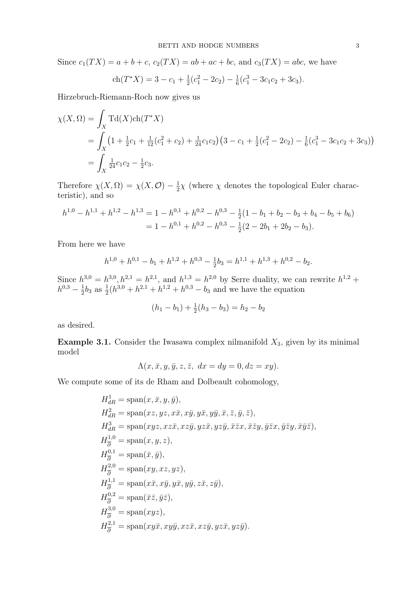Since  $c_1(TX) = a + b + c$ ,  $c_2(TX) = ab + ac + bc$ , and  $c_3(TX) = abc$ , we have

$$
ch(T^*X) = 3 - c_1 + \frac{1}{2}(c_1^2 - 2c_2) - \frac{1}{6}(c_1^3 - 3c_1c_2 + 3c_3).
$$

Hirzebruch-Riemann-Roch now gives us

$$
\chi(X,\Omega) = \int_X \mathrm{Td}(X) \mathrm{ch}(T^*X)
$$
  
= 
$$
\int_X (1 + \frac{1}{2}c_1 + \frac{1}{12}(c_1^2 + c_2) + \frac{1}{24}c_1c_2)(3 - c_1 + \frac{1}{2}(c_1^2 - 2c_2) - \frac{1}{6}(c_1^3 - 3c_1c_2 + 3c_3))
$$
  
= 
$$
\int_X \frac{1}{24}c_1c_2 - \frac{1}{2}c_3.
$$

Therefore  $\chi(X, \Omega) = \chi(X, \mathcal{O}) - \frac{1}{2}$  $\frac{1}{2}\chi$  (where  $\chi$  denotes the topological Euler characteristic), and so

$$
h^{1,0} - h^{1,1} + h^{1,2} - h^{1,3} = 1 - h^{0,1} + h^{0,2} - h^{0,3} - \frac{1}{2}(1 - b_1 + b_2 - b_3 + b_4 - b_5 + b_6)
$$
  
=  $1 - h^{0,1} + h^{0,2} - h^{0,3} - \frac{1}{2}(2 - 2b_1 + 2b_2 - b_3).$ 

From here we have

$$
h^{1,0} + h^{0,1} - b_1 + h^{1,2} + h^{0,3} - \frac{1}{2}b_3 = h^{1,1} + h^{1,3} + h^{0,2} - b_2.
$$

Since  $h^{3,0} = h^{3,0}, h^{2,1} = h^{2,1},$  and  $h^{1,3} = h^{2,0}$  by Serre duality, we can rewrite  $h^{1,2}$  +  $h^{0,3} - \frac{1}{2}$  $\frac{1}{2}b_3$  as  $\frac{1}{2}(h^{3,0}+h^{2,1}+h^{1,2}+h^{0,3}-b_3)$  and we have the equation

$$
(h_1 - b_1) + \frac{1}{2}(h_3 - b_3) = h_2 - b_2
$$

as desired.

**Example 3.1.** Consider the Iwasawa complex nilmanifold  $X_3$ , given by its minimal model

$$
\Lambda(x, \bar{x}, y, \bar{y}, z, \bar{z}, dx = dy = 0, dz = xy).
$$

We compute some of its de Rham and Dolbeault cohomology,

$$
H_{dR}^{1} = \text{span}(x, \bar{x}, y, \bar{y}),
$$
  
\n
$$
H_{dR}^{2} = \text{span}(xz, yz, x\bar{x}, x\bar{y}, y\bar{x}, y\bar{y}, \bar{x}, \bar{z}, \bar{y}, \bar{z}),
$$
  
\n
$$
H_{dR}^{3} = \text{span}(xyz, xz\bar{x}, xz\bar{y}, yz\bar{x}, yz\bar{y}, \bar{x}\bar{z}x, \bar{x}\bar{z}y, \bar{y}\bar{z}x, \bar{y}\bar{z}y, \bar{x}\bar{y}\bar{z}),
$$
  
\n
$$
H_{\bar{\partial}}^{1,0} = \text{span}(x, y, z),
$$
  
\n
$$
H_{\bar{\partial}}^{2,0} = \text{span}(\bar{x}, \bar{y}),
$$
  
\n
$$
H_{\bar{\partial}}^{2,0} = \text{span}(xy, xz, yz),
$$
  
\n
$$
H_{\bar{\partial}}^{1,1} = \text{span}(x\bar{x}, x\bar{y}, y\bar{x}, y\bar{y}, z\bar{x}, z\bar{y}),
$$
  
\n
$$
H_{\bar{\partial}}^{3,0} = \text{span}(xyz),
$$
  
\n
$$
H_{\bar{\partial}}^{2,1} = \text{span}(xyzy, xz\bar{y}, xz\bar{x}, xz\bar{y}, yz\bar{x}, yz\bar{y}).
$$